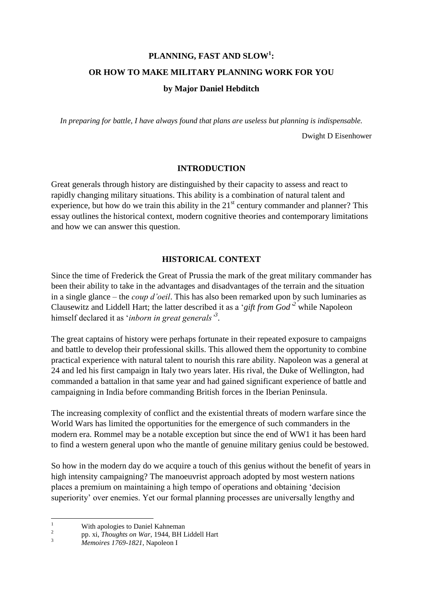# **PLANNING, FAST AND SLOW<sup>1</sup> : OR HOW TO MAKE MILITARY PLANNING WORK FOR YOU**

## **by Major Daniel Hebditch**

*In preparing for battle, I have always found that plans are useless but planning is indispensable.*

Dwight D Eisenhower

## **INTRODUCTION**

Great generals through history are distinguished by their capacity to assess and react to rapidly changing military situations. This ability is a combination of natural talent and experience, but how do we train this ability in the  $21<sup>st</sup>$  century commander and planner? This essay outlines the historical context, modern cognitive theories and contemporary limitations and how we can answer this question.

# **HISTORICAL CONTEXT**

Since the time of Frederick the Great of Prussia the mark of the great military commander has been their ability to take in the advantages and disadvantages of the terrain and the situation in a single glance – the *coup d'oeil*. This has also been remarked upon by such luminaries as Clausewitz and Liddell Hart; the latter described it as a '*gift from God' <sup>2</sup>* while Napoleon himself declared it as '*inborn in great generals'<sup>3</sup>* .

The great captains of history were perhaps fortunate in their repeated exposure to campaigns and battle to develop their professional skills. This allowed them the opportunity to combine practical experience with natural talent to nourish this rare ability. Napoleon was a general at 24 and led his first campaign in Italy two years later. His rival, the Duke of Wellington, had commanded a battalion in that same year and had gained significant experience of battle and campaigning in India before commanding British forces in the Iberian Peninsula.

The increasing complexity of conflict and the existential threats of modern warfare since the World Wars has limited the opportunities for the emergence of such commanders in the modern era. Rommel may be a notable exception but since the end of WW1 it has been hard to find a western general upon who the mantle of genuine military genius could be bestowed.

So how in the modern day do we acquire a touch of this genius without the benefit of years in high intensity campaigning? The manoeuvrist approach adopted by most western nations places a premium on maintaining a high tempo of operations and obtaining 'decision superiority' over enemies. Yet our formal planning processes are universally lengthy and

 $\mathbf{1}$ With apologies to Daniel Kahneman

 $\overline{2}$ pp. xi, *Thoughts on War*, 1944, BH Liddell Hart

<sup>3</sup> *Memoires 1769-1821*, Napoleon I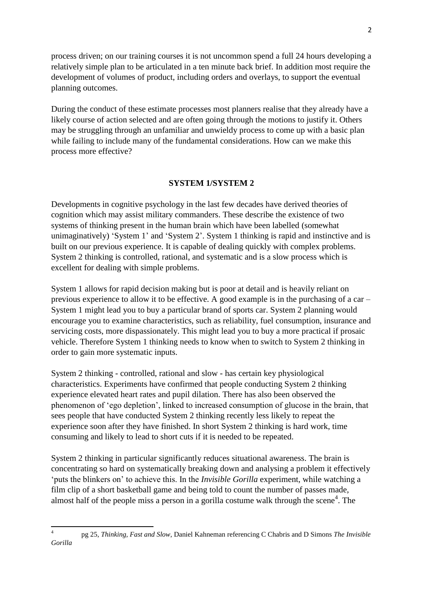process driven; on our training courses it is not uncommon spend a full 24 hours developing a relatively simple plan to be articulated in a ten minute back brief. In addition most require the development of volumes of product, including orders and overlays, to support the eventual planning outcomes.

During the conduct of these estimate processes most planners realise that they already have a likely course of action selected and are often going through the motions to justify it. Others may be struggling through an unfamiliar and unwieldy process to come up with a basic plan while failing to include many of the fundamental considerations. How can we make this process more effective?

#### **SYSTEM 1/SYSTEM 2**

Developments in cognitive psychology in the last few decades have derived theories of cognition which may assist military commanders. These describe the existence of two systems of thinking present in the human brain which have been labelled (somewhat unimaginatively) 'System 1' and 'System 2'. System 1 thinking is rapid and instinctive and is built on our previous experience. It is capable of dealing quickly with complex problems. System 2 thinking is controlled, rational, and systematic and is a slow process which is excellent for dealing with simple problems.

System 1 allows for rapid decision making but is poor at detail and is heavily reliant on previous experience to allow it to be effective. A good example is in the purchasing of a car – System 1 might lead you to buy a particular brand of sports car. System 2 planning would encourage you to examine characteristics, such as reliability, fuel consumption, insurance and servicing costs, more dispassionately. This might lead you to buy a more practical if prosaic vehicle. Therefore System 1 thinking needs to know when to switch to System 2 thinking in order to gain more systematic inputs.

System 2 thinking - controlled, rational and slow - has certain key physiological characteristics. Experiments have confirmed that people conducting System 2 thinking experience elevated heart rates and pupil dilation. There has also been observed the phenomenon of 'ego depletion', linked to increased consumption of glucose in the brain, that sees people that have conducted System 2 thinking recently less likely to repeat the experience soon after they have finished. In short System 2 thinking is hard work, time consuming and likely to lead to short cuts if it is needed to be repeated.

System 2 thinking in particular significantly reduces situational awareness. The brain is concentrating so hard on systematically breaking down and analysing a problem it effectively 'puts the blinkers on' to achieve this. In the *Invisible Gorilla* experiment, while watching a film clip of a short basketball game and being told to count the number of passes made, almost half of the people miss a person in a gorilla costume walk through the scene<sup>4</sup>. The

 $\frac{1}{4}$ pg 25, *Thinking, Fast and Slow*, Daniel Kahneman referencing C Chabris and D Simons *The Invisible Gorilla*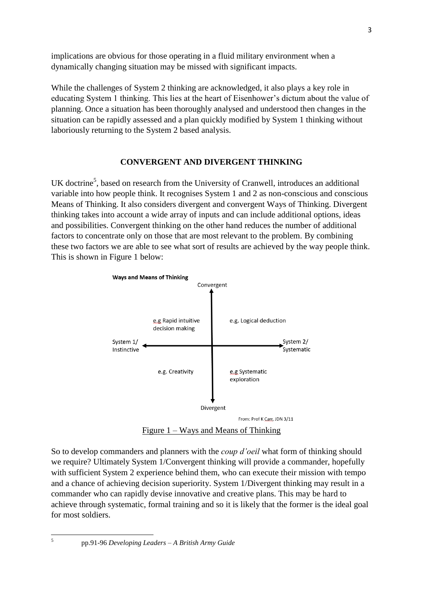implications are obvious for those operating in a fluid military environment when a dynamically changing situation may be missed with significant impacts.

While the challenges of System 2 thinking are acknowledged, it also plays a key role in educating System 1 thinking. This lies at the heart of Eisenhower's dictum about the value of planning. Once a situation has been thoroughly analysed and understood then changes in the situation can be rapidly assessed and a plan quickly modified by System 1 thinking without laboriously returning to the System 2 based analysis.

## **CONVERGENT AND DIVERGENT THINKING**

UK doctrine<sup>5</sup>, based on research from the University of Cranwell, introduces an additional variable into how people think. It recognises System 1 and 2 as non-conscious and conscious Means of Thinking. It also considers divergent and convergent Ways of Thinking. Divergent thinking takes into account a wide array of inputs and can include additional options, ideas and possibilities. Convergent thinking on the other hand reduces the number of additional factors to concentrate only on those that are most relevant to the problem. By combining these two factors we are able to see what sort of results are achieved by the way people think. This is shown in Figure 1 below:



Figure 1 – Ways and Means of Thinking

So to develop commanders and planners with the *coup d'oeil* what form of thinking should we require? Ultimately System 1/Convergent thinking will provide a commander, hopefully with sufficient System 2 experience behind them, who can execute their mission with tempo and a chance of achieving decision superiority. System 1/Divergent thinking may result in a commander who can rapidly devise innovative and creative plans. This may be hard to achieve through systematic, formal training and so it is likely that the former is the ideal goal for most soldiers.

 $\frac{1}{5}$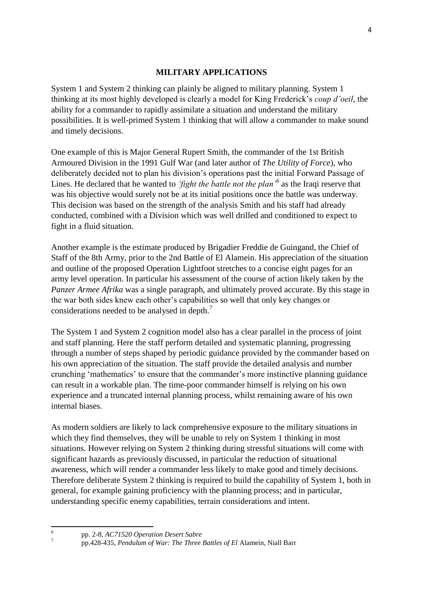### **MILITARY APPLICATIONS**

System 1 and System 2 thinking can plainly be aligned to military planning. System 1 thinking at its most highly developed is clearly a model for King Frederick's *coup d'oeil*, the ability for a commander to rapidly assimilate a situation and understand the military possibilities. It is well-primed System 1 thinking that will allow a commander to make sound and timely decisions.

One example of this is Major General Rupert Smith, the commander of the 1st British Armoured Division in the 1991 Gulf War (and later author of *The Utility of Force*), who deliberately decided not to plan his division's operations past the initial Forward Passage of Lines. He declared that he wanted to *'fight the battle not the plan'<sup>6</sup>* as the Iraqi reserve that was his objective would surely not be at its initial positions once the battle was underway. This decision was based on the strength of the analysis Smith and his staff had already conducted, combined with a Division which was well drilled and conditioned to expect to fight in a fluid situation.

Another example is the estimate produced by Brigadier Freddie de Guingand, the Chief of Staff of the 8th Army, prior to the 2nd Battle of El Alamein. His appreciation of the situation and outline of the proposed Operation Lightfoot stretches to a concise eight pages for an army level operation. In particular his assessment of the course of action likely taken by the *Panzer Armee Afrika* was a single paragraph, and ultimately proved accurate. By this stage in the war both sides knew each other's capabilities so well that only key changes or considerations needed to be analysed in depth. $<sup>7</sup>$ </sup>

The System 1 and System 2 cognition model also has a clear parallel in the process of joint and staff planning. Here the staff perform detailed and systematic planning, progressing through a number of steps shaped by periodic guidance provided by the commander based on his own appreciation of the situation. The staff provide the detailed analysis and number crunching 'mathematics' to ensure that the commander's more instinctive planning guidance can result in a workable plan. The time-poor commander himself is relying on his own experience and a truncated internal planning process, whilst remaining aware of his own internal biases.

As modern soldiers are likely to lack comprehensive exposure to the military situations in which they find themselves, they will be unable to rely on System 1 thinking in most situations. However relying on System 2 thinking during stressful situations will come with significant hazards as previously discussed, in particular the reduction of situational awareness, which will render a commander less likely to make good and timely decisions. Therefore deliberate System 2 thinking is required to build the capability of System 1, both in general, for example gaining proficiency with the planning process; and in particular, understanding specific enemy capabilities, terrain considerations and intent.

 $\frac{1}{6}$ 7

pp. 2-8, *AC71520 Operation Desert Sabre*

pp.428-435, *Pendulum of War: The Three Battles of El* Alamein, Niall Barr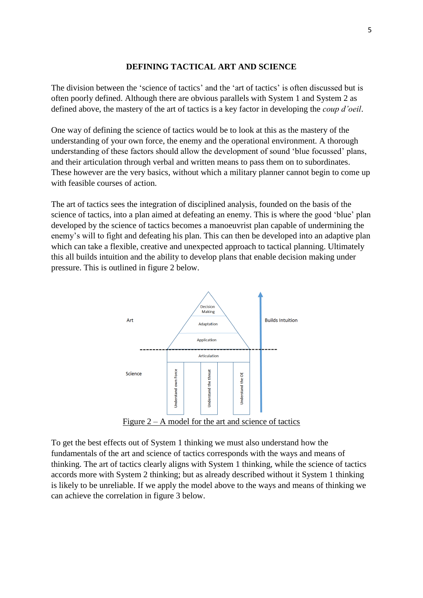#### **DEFINING TACTICAL ART AND SCIENCE**

The division between the 'science of tactics' and the 'art of tactics' is often discussed but is often poorly defined. Although there are obvious parallels with System 1 and System 2 as defined above, the mastery of the art of tactics is a key factor in developing the *coup d'oeil*.

One way of defining the science of tactics would be to look at this as the mastery of the understanding of your own force, the enemy and the operational environment. A thorough understanding of these factors should allow the development of sound 'blue focussed' plans, and their articulation through verbal and written means to pass them on to subordinates. These however are the very basics, without which a military planner cannot begin to come up with feasible courses of action.

The art of tactics sees the integration of disciplined analysis, founded on the basis of the science of tactics, into a plan aimed at defeating an enemy. This is where the good 'blue' plan developed by the science of tactics becomes a manoeuvrist plan capable of undermining the enemy's will to fight and defeating his plan. This can then be developed into an adaptive plan which can take a flexible, creative and unexpected approach to tactical planning. Ultimately this all builds intuition and the ability to develop plans that enable decision making under pressure. This is outlined in figure 2 below.



To get the best effects out of System 1 thinking we must also understand how the fundamentals of the art and science of tactics corresponds with the ways and means of thinking. The art of tactics clearly aligns with System 1 thinking, while the science of tactics accords more with System 2 thinking; but as already described without it System 1 thinking is likely to be unreliable. If we apply the model above to the ways and means of thinking we can achieve the correlation in figure 3 below.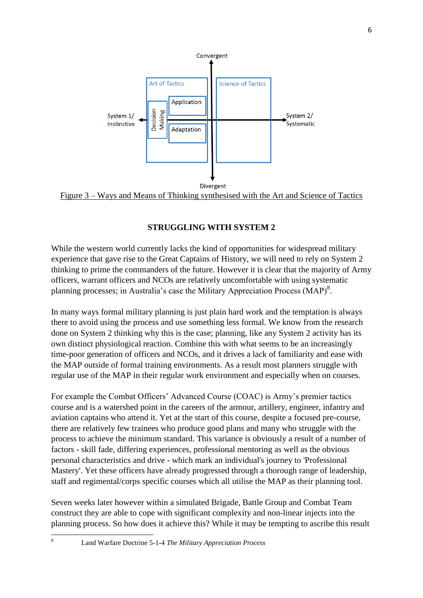

## Figure 3 – Ways and Means of Thinking synthesised with the Art and Science of Tactics

# **STRUGGLING WITH SYSTEM 2**

While the western world currently lacks the kind of opportunities for widespread military experience that gave rise to the Great Captains of History, we will need to rely on System 2 thinking to prime the commanders of the future. However it is clear that the majority of Army officers, warrant officers and NCOs are relatively uncomfortable with using systematic planning processes; in Australia's case the Military Appreciation Process (MAP) $^{8}$ .

In many ways formal military planning is just plain hard work and the temptation is always there to avoid using the process and use something less formal. We know from the research done on System 2 thinking why this is the case; planning, like any System 2 activity has its own distinct physiological reaction. Combine this with what seems to be an increasingly time-poor generation of officers and NCOs, and it drives a lack of familiarity and ease with the MAP outside of formal training environments. As a result most planners struggle with regular use of the MAP in their regular work environment and especially when on courses.

For example the Combat Officers' Advanced Course (COAC) is Army's premier tactics course and is a watershed point in the careers of the armour, artillery, engineer, infantry and aviation captains who attend it. Yet at the start of this course, despite a focused pre-course, there are relatively few trainees who produce good plans and many who struggle with the process to achieve the minimum standard. This variance is obviously a result of a number of factors - skill fade, differing experiences, professional mentoring as well as the obvious personal characteristics and drive - which mark an individual's journey to 'Professional Mastery'. Yet these officers have already progressed through a thorough range of leadership, staff and regimental/corps specific courses which all utilise the MAP as their planning tool.

Seven weeks later however within a simulated Brigade, Battle Group and Combat Team construct they are able to cope with significant complexity and non-linear injects into the planning process. So how does it achieve this? While it may be tempting to ascribe this result

<sup>8</sup> Land Warfare Doctrine 5-1-4 *The Military Appreciation Process*

**.**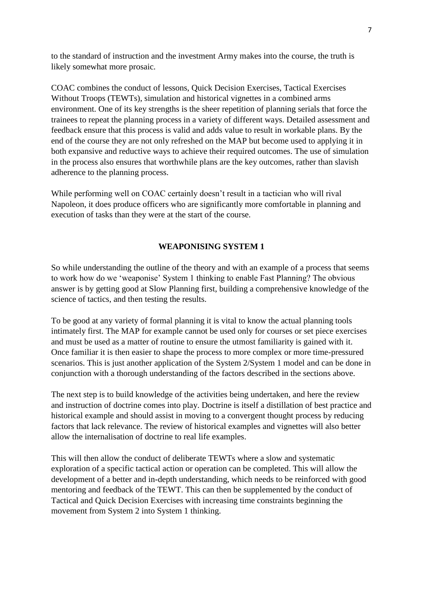to the standard of instruction and the investment Army makes into the course, the truth is likely somewhat more prosaic.

COAC combines the conduct of lessons, Quick Decision Exercises, Tactical Exercises Without Troops (TEWTs), simulation and historical vignettes in a combined arms environment. One of its key strengths is the sheer repetition of planning serials that force the trainees to repeat the planning process in a variety of different ways. Detailed assessment and feedback ensure that this process is valid and adds value to result in workable plans. By the end of the course they are not only refreshed on the MAP but become used to applying it in both expansive and reductive ways to achieve their required outcomes. The use of simulation in the process also ensures that worthwhile plans are the key outcomes, rather than slavish adherence to the planning process.

While performing well on COAC certainly doesn't result in a tactician who will rival Napoleon, it does produce officers who are significantly more comfortable in planning and execution of tasks than they were at the start of the course.

#### **WEAPONISING SYSTEM 1**

So while understanding the outline of the theory and with an example of a process that seems to work how do we 'weaponise' System 1 thinking to enable Fast Planning? The obvious answer is by getting good at Slow Planning first, building a comprehensive knowledge of the science of tactics, and then testing the results.

To be good at any variety of formal planning it is vital to know the actual planning tools intimately first. The MAP for example cannot be used only for courses or set piece exercises and must be used as a matter of routine to ensure the utmost familiarity is gained with it. Once familiar it is then easier to shape the process to more complex or more time-pressured scenarios. This is just another application of the System 2/System 1 model and can be done in conjunction with a thorough understanding of the factors described in the sections above.

The next step is to build knowledge of the activities being undertaken, and here the review and instruction of doctrine comes into play. Doctrine is itself a distillation of best practice and historical example and should assist in moving to a convergent thought process by reducing factors that lack relevance. The review of historical examples and vignettes will also better allow the internalisation of doctrine to real life examples.

This will then allow the conduct of deliberate TEWTs where a slow and systematic exploration of a specific tactical action or operation can be completed. This will allow the development of a better and in-depth understanding, which needs to be reinforced with good mentoring and feedback of the TEWT. This can then be supplemented by the conduct of Tactical and Quick Decision Exercises with increasing time constraints beginning the movement from System 2 into System 1 thinking.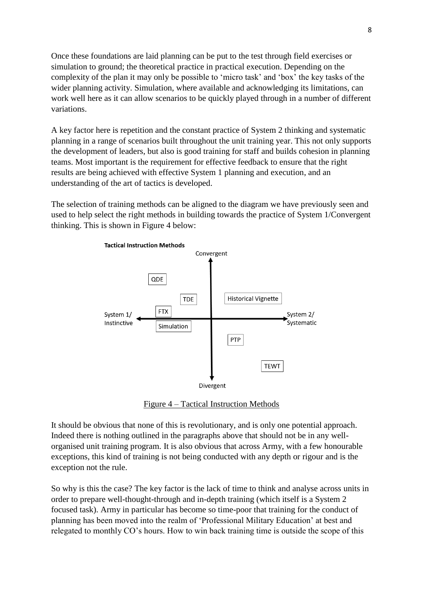Once these foundations are laid planning can be put to the test through field exercises or simulation to ground; the theoretical practice in practical execution. Depending on the complexity of the plan it may only be possible to 'micro task' and 'box' the key tasks of the wider planning activity. Simulation, where available and acknowledging its limitations, can work well here as it can allow scenarios to be quickly played through in a number of different variations.

A key factor here is repetition and the constant practice of System 2 thinking and systematic planning in a range of scenarios built throughout the unit training year. This not only supports the development of leaders, but also is good training for staff and builds cohesion in planning teams. Most important is the requirement for effective feedback to ensure that the right results are being achieved with effective System 1 planning and execution, and an understanding of the art of tactics is developed.

The selection of training methods can be aligned to the diagram we have previously seen and used to help select the right methods in building towards the practice of System 1/Convergent thinking. This is shown in Figure 4 below:



Figure 4 – Tactical Instruction Methods

It should be obvious that none of this is revolutionary, and is only one potential approach. Indeed there is nothing outlined in the paragraphs above that should not be in any wellorganised unit training program. It is also obvious that across Army, with a few honourable exceptions, this kind of training is not being conducted with any depth or rigour and is the exception not the rule.

So why is this the case? The key factor is the lack of time to think and analyse across units in order to prepare well-thought-through and in-depth training (which itself is a System 2 focused task). Army in particular has become so time-poor that training for the conduct of planning has been moved into the realm of 'Professional Military Education' at best and relegated to monthly CO's hours. How to win back training time is outside the scope of this